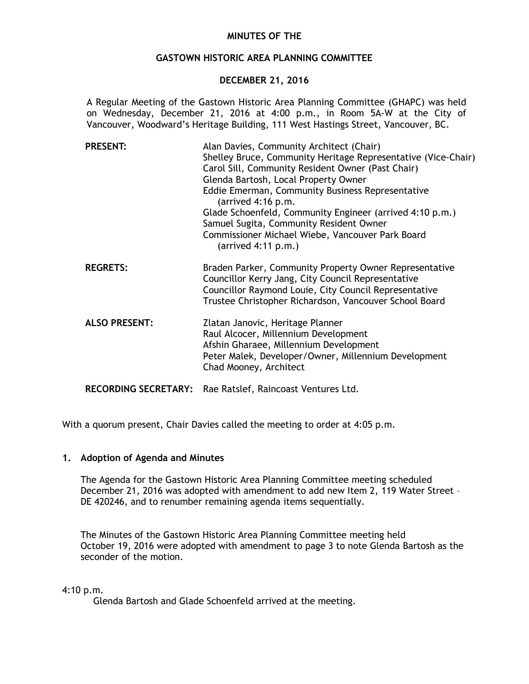#### **MINUTES OF THE**

#### **GASTOWN HISTORIC AREA PLANNING COMMITTEE**

#### **DECEMBER 21, 2016**

A Regular Meeting of the Gastown Historic Area Planning Committee (GHAPC) was held on Wednesday, December 21, 2016 at 4:00 p.m., in Room 5A-W at the City of Vancouver, Woodward's Heritage Building, 111 West Hastings Street, Vancouver, BC.

| <b>PRESENT:</b>             | Alan Davies, Community Architect (Chair)<br>Shelley Bruce, Community Heritage Representative (Vice-Chair)<br>Carol Sill, Community Resident Owner (Past Chair)<br>Glenda Bartosh, Local Property Owner<br>Eddie Emerman, Community Business Representative<br>(arrived 4:16 p.m.<br>Glade Schoenfeld, Community Engineer (arrived 4:10 p.m.)<br>Samuel Sugita, Community Resident Owner<br>Commissioner Michael Wiebe, Vancouver Park Board<br>$(\text{arrived } 4:11 \text{ p.m.})$ |
|-----------------------------|--------------------------------------------------------------------------------------------------------------------------------------------------------------------------------------------------------------------------------------------------------------------------------------------------------------------------------------------------------------------------------------------------------------------------------------------------------------------------------------|
| <b>REGRETS:</b>             | Braden Parker, Community Property Owner Representative<br>Councillor Kerry Jang, City Council Representative<br>Councillor Raymond Louie, City Council Representative<br>Trustee Christopher Richardson, Vancouver School Board                                                                                                                                                                                                                                                      |
| <b>ALSO PRESENT:</b>        | Zlatan Janovic, Heritage Planner<br>Raul Alcocer, Millennium Development<br>Afshin Gharaee, Millennium Development<br>Peter Malek, Developer/Owner, Millennium Development<br>Chad Mooney, Architect                                                                                                                                                                                                                                                                                 |
| <b>RECORDING SECRETARY:</b> | Rae Ratslef, Raincoast Ventures Ltd.                                                                                                                                                                                                                                                                                                                                                                                                                                                 |

With a quorum present, Chair Davies called the meeting to order at 4:05 p.m.

#### **1. Adoption of Agenda and Minutes**

The Agenda for the Gastown Historic Area Planning Committee meeting scheduled December 21, 2016 was adopted with amendment to add new Item 2, 119 Water Street – DE 420246, and to renumber remaining agenda items sequentially.

The Minutes of the Gastown Historic Area Planning Committee meeting held October 19, 2016 were adopted with amendment to page 3 to note Glenda Bartosh as the seconder of the motion.

# 4:10 p.m.

Glenda Bartosh and Glade Schoenfeld arrived at the meeting.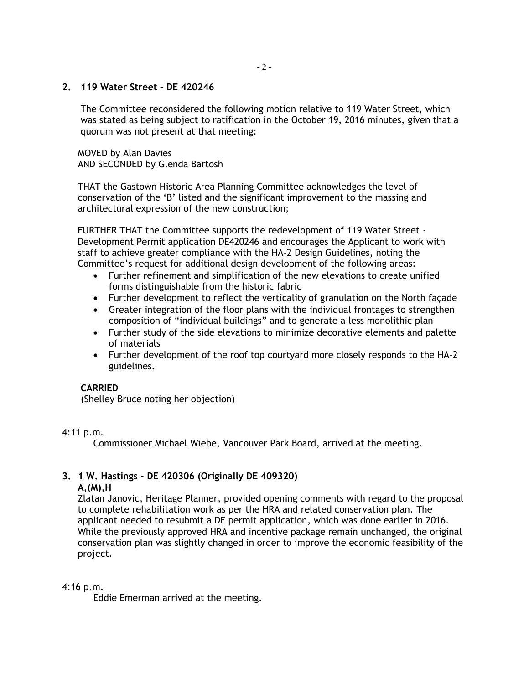## **2. 119 Water Street – DE 420246**

The Committee reconsidered the following motion relative to 119 Water Street, which was stated as being subject to ratification in the October 19, 2016 minutes, given that a quorum was not present at that meeting:

MOVED by Alan Davies AND SECONDED by Glenda Bartosh

THAT the Gastown Historic Area Planning Committee acknowledges the level of conservation of the 'B' listed and the significant improvement to the massing and architectural expression of the new construction;

FURTHER THAT the Committee supports the redevelopment of 119 Water Street - Development Permit application DE420246 and encourages the Applicant to work with staff to achieve greater compliance with the HA-2 Design Guidelines, noting the Committee's request for additional design development of the following areas:

- Further refinement and simplification of the new elevations to create unified forms distinguishable from the historic fabric
- Further development to reflect the verticality of granulation on the North façade
- Greater integration of the floor plans with the individual frontages to strengthen composition of "individual buildings" and to generate a less monolithic plan
- Further study of the side elevations to minimize decorative elements and palette of materials
- Further development of the roof top courtyard more closely responds to the HA-2 guidelines.

# **CARRIED**

(Shelley Bruce noting her objection)

#### 4:11 p.m.

Commissioner Michael Wiebe, Vancouver Park Board, arrived at the meeting.

# **3. 1 W. Hastings - DE 420306 (Originally DE 409320)**

#### **A,(M),H**

Zlatan Janovic, Heritage Planner, provided opening comments with regard to the proposal to complete rehabilitation work as per the HRA and related conservation plan. The applicant needed to resubmit a DE permit application, which was done earlier in 2016. While the previously approved HRA and incentive package remain unchanged, the original conservation plan was slightly changed in order to improve the economic feasibility of the project.

#### 4:16 p.m.

Eddie Emerman arrived at the meeting.